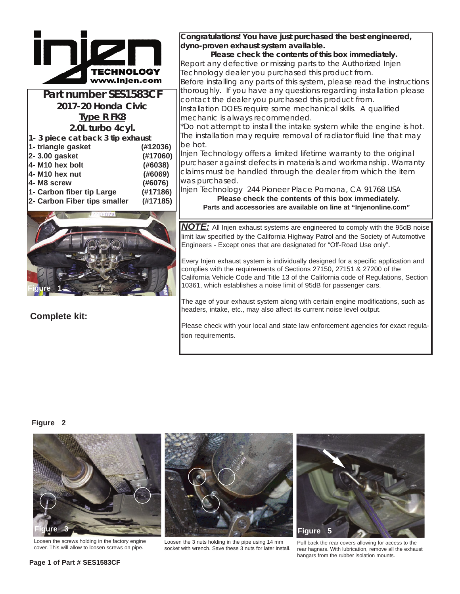

**Part number SES1583CF 2017-20 Honda Civic Type R FK8 2.0L turbo 4cyl. 1- 3 piece cat back 3 tip exhaust**

| 2- Carbon Fiber tips smaller | (#17185) |
|------------------------------|----------|
| 1- Carbon fiber tip Large    | (#17186) |
| 4- M8 screw                  | (#6076)  |
| 4- M10 hex nut               | (#6069)  |
| 4- M10 hex bolt              | (#6038)  |
| 2-3.00 gasket                | (#17060) |
| 1- triangle gasket           | (#12036) |



**Complete kit:**

**Congratulations! You have just purchased the best engineered, dyno-proven exhaust system available.**

**Please check the contents of this box immediately.** Report any defective or missing parts to the Authorized Injen Technology dealer you purchased this product from. Before installing any parts of this system, please read the instructions thoroughly. If you have any questions regarding installation please contact the dealer you purchased this product from. Installation DOES require some mechanical skills. A qualified mechanic is always recommended.

\*Do not attempt to install the intake system while the engine is hot. The installation may require removal of radiator fluid line that may be hot.

Injen Technology offers a limited lifetime warranty to the original purchaser against defects in materials and workmanship. Warranty claims must be handled through the dealer from which the item was purchased.

Injen Technology 244 Pioneer Place Pomona, CA 91768 USA **Please check the contents of this box immediately. Parts and accessories are available on line at "Injenonline.com"**

*NOTE:* All Injen exhaust systems are engineered to comply with the 95dB noise limit law specified by the California Highway Patrol and the Society of Automotive Engineers - Except ones that are designated for "Off-Road Use only".

Every Injen exhaust system is individually designed for a specific application and complies with the requirements of Sections 27150, 27151 & 27200 of the California Vehicle Code and Title 13 of the California code of Regulations, Section 10361, which establishes a noise limit of 95dB for passenger cars.

The age of your exhaust system along with certain engine modifications, such as headers, intake, etc., may also affect its current noise level output.

Please check with your local and state law enforcement agencies for exact regulation requirements.

## **Figure 2**



Loosen the screws holding in the factory engine



Loosen the screws holding in the factory engine but be loosen the 3 nuts holding in the pipe using 14 mm Pull back the rear covers allowing for access to the exhat<br>cover. This will allow to loosen screws on pipe. Socket wi Loosen the 3 nuts holding in the pipe using 14 mm



rear hagnars. With lubrication, remove all the exhaust hangars from the rubber isolation mounts.